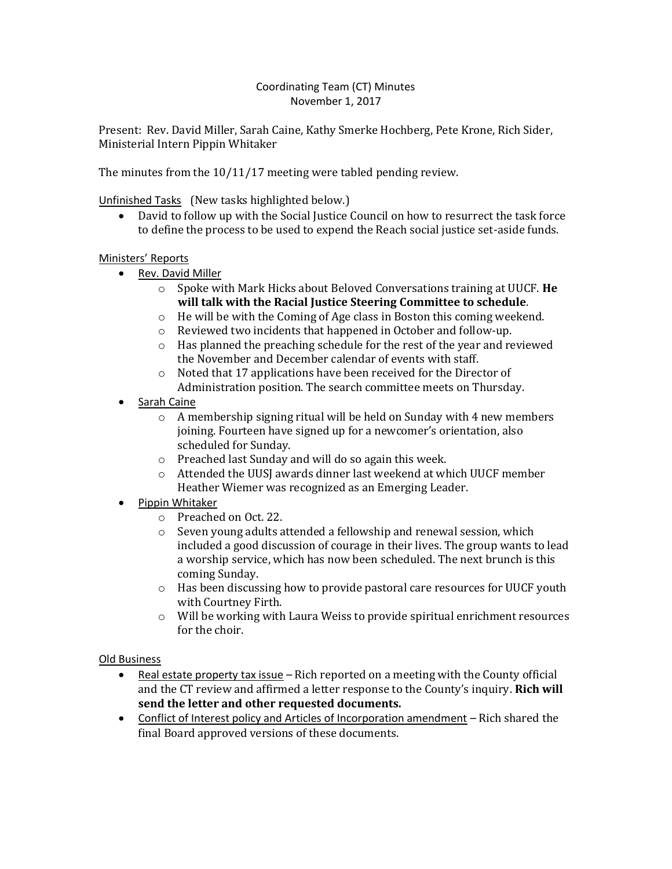## Coordinating Team (CT) Minutes November 1, 2017

Present: Rev. David Miller, Sarah Caine, Kathy Smerke Hochberg, Pete Krone, Rich Sider, Ministerial Intern Pippin Whitaker

The minutes from the 10/11/17 meeting were tabled pending review.

Unfinished Tasks (New tasks highlighted below.)

 David to follow up with the Social Justice Council on how to resurrect the task force to define the process to be used to expend the Reach social justice set-aside funds.

## Ministers' Reports

- Rev. David Miller
	- o Spoke with Mark Hicks about Beloved Conversations training at UUCF. **He will talk with the Racial Justice Steering Committee to schedule**.
	- o He will be with the Coming of Age class in Boston this coming weekend.
	- o Reviewed two incidents that happened in October and follow-up.
	- o Has planned the preaching schedule for the rest of the year and reviewed the November and December calendar of events with staff.
	- o Noted that 17 applications have been received for the Director of Administration position. The search committee meets on Thursday.
- Sarah Caine
	- o A membership signing ritual will be held on Sunday with 4 new members joining. Fourteen have signed up for a newcomer's orientation, also scheduled for Sunday.
	- o Preached last Sunday and will do so again this week.
	- o Attended the UUSJ awards dinner last weekend at which UUCF member Heather Wiemer was recognized as an Emerging Leader.
- Pippin Whitaker
	- o Preached on Oct. 22.
	- o Seven young adults attended a fellowship and renewal session, which included a good discussion of courage in their lives. The group wants to lead a worship service, which has now been scheduled. The next brunch is this coming Sunday.
	- o Has been discussing how to provide pastoral care resources for UUCF youth with Courtney Firth.
	- $\circ$  Will be working with Laura Weiss to provide spiritual enrichment resources for the choir.

#### Old Business

- **•** Real estate property tax issue  $-$  Rich reported on a meeting with the County official and the CT review and affirmed a letter response to the County's inquiry. **Rich will send the letter and other requested documents.**
- Conflict of Interest policy and Articles of Incorporation amendment Rich shared the final Board approved versions of these documents.